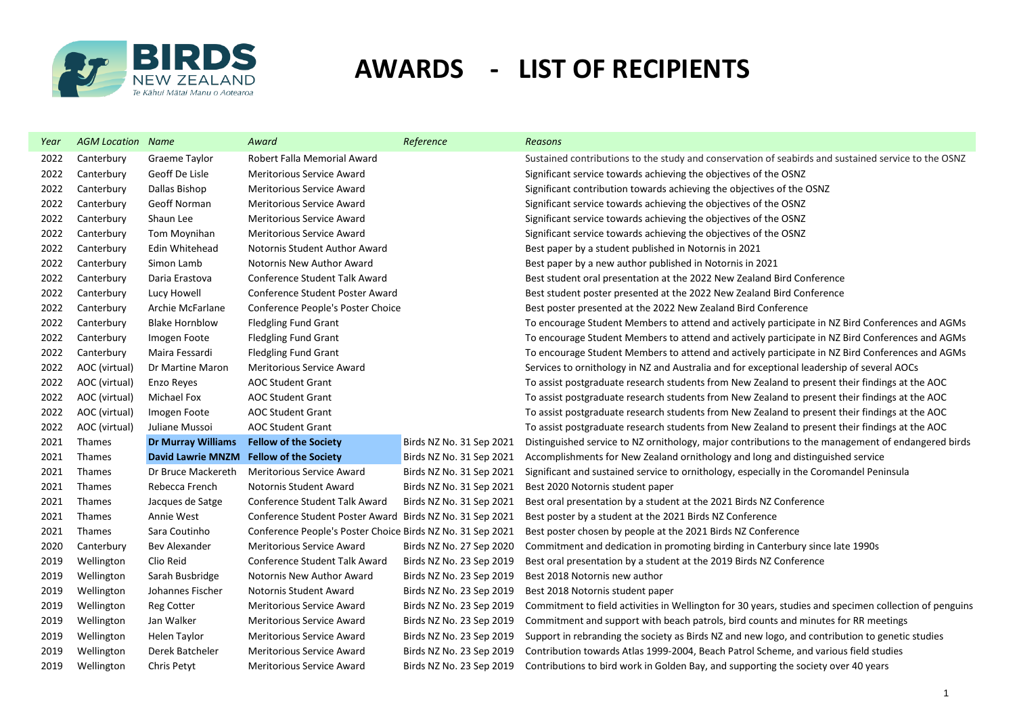

## **BIRDS**<br>NEW ZEALAND **AWARDS** - LIST OF RECIPIENTS

| Year | <b>AGM Location Name</b> |                           | Award                                                      | Reference                | Reasons                                                                                                |  |
|------|--------------------------|---------------------------|------------------------------------------------------------|--------------------------|--------------------------------------------------------------------------------------------------------|--|
| 2022 | Canterbury               | Graeme Taylor             | Robert Falla Memorial Award                                |                          | Sustained contributions to the study and conservation of seabirds and sustained service to the OSNZ    |  |
| 2022 | Canterbury               | Geoff De Lisle            | <b>Meritorious Service Award</b>                           |                          | Significant service towards achieving the objectives of the OSNZ                                       |  |
| 2022 | Canterbury               | Dallas Bishop             | Meritorious Service Award                                  |                          | Significant contribution towards achieving the objectives of the OSNZ                                  |  |
| 2022 | Canterbury               | Geoff Norman              | Meritorious Service Award                                  |                          | Significant service towards achieving the objectives of the OSNZ                                       |  |
| 2022 | Canterbury               | Shaun Lee                 | Meritorious Service Award                                  |                          | Significant service towards achieving the objectives of the OSNZ                                       |  |
| 2022 | Canterbury               | Tom Moynihan              | Meritorious Service Award                                  |                          | Significant service towards achieving the objectives of the OSNZ                                       |  |
| 2022 | Canterbury               | Edin Whitehead            | Notornis Student Author Award                              |                          | Best paper by a student published in Notornis in 2021                                                  |  |
| 2022 | Canterbury               | Simon Lamb                | Notornis New Author Award                                  |                          | Best paper by a new author published in Notornis in 2021                                               |  |
| 2022 | Canterbury               | Daria Erastova            | Conference Student Talk Award                              |                          | Best student oral presentation at the 2022 New Zealand Bird Conference                                 |  |
| 2022 | Canterbury               | Lucy Howell               | Conference Student Poster Award                            |                          | Best student poster presented at the 2022 New Zealand Bird Conference                                  |  |
| 2022 | Canterbury               | Archie McFarlane          | Conference People's Poster Choice                          |                          | Best poster presented at the 2022 New Zealand Bird Conference                                          |  |
| 2022 | Canterbury               | <b>Blake Hornblow</b>     | <b>Fledgling Fund Grant</b>                                |                          | To encourage Student Members to attend and actively participate in NZ Bird Conferences and AGMs        |  |
| 2022 | Canterbury               | Imogen Foote              | <b>Fledgling Fund Grant</b>                                |                          | To encourage Student Members to attend and actively participate in NZ Bird Conferences and AGMs        |  |
| 2022 | Canterbury               | Maira Fessardi            | <b>Fledgling Fund Grant</b>                                |                          | To encourage Student Members to attend and actively participate in NZ Bird Conferences and AGMs        |  |
| 2022 | AOC (virtual)            | Dr Martine Maron          | <b>Meritorious Service Award</b>                           |                          | Services to ornithology in NZ and Australia and for exceptional leadership of several AOCs             |  |
| 2022 | AOC (virtual)            | Enzo Reyes                | <b>AOC Student Grant</b>                                   |                          | To assist postgraduate research students from New Zealand to present their findings at the AOC         |  |
| 2022 | AOC (virtual)            | Michael Fox               | <b>AOC Student Grant</b>                                   |                          | To assist postgraduate research students from New Zealand to present their findings at the AOC         |  |
| 2022 | AOC (virtual)            | Imogen Foote              | <b>AOC Student Grant</b>                                   |                          | To assist postgraduate research students from New Zealand to present their findings at the AOC         |  |
| 2022 | AOC (virtual)            | Juliane Mussoi            | <b>AOC Student Grant</b>                                   |                          | To assist postgraduate research students from New Zealand to present their findings at the AOC         |  |
| 2021 | Thames                   | <b>Dr Murray Williams</b> | <b>Fellow of the Society</b>                               | Birds NZ No. 31 Sep 2021 | Distinguished service to NZ ornithology, major contributions to the management of endangered birds     |  |
| 2021 | Thames                   | <b>David Lawrie MNZM</b>  | <b>Fellow of the Society</b>                               | Birds NZ No. 31 Sep 2021 | Accomplishments for New Zealand ornithology and long and distinguished service                         |  |
| 2021 | Thames                   | Dr Bruce Mackereth        | Meritorious Service Award                                  | Birds NZ No. 31 Sep 2021 | Significant and sustained service to ornithology, especially in the Coromandel Peninsula               |  |
| 2021 | Thames                   | Rebecca French            | Notornis Student Award                                     | Birds NZ No. 31 Sep 2021 | Best 2020 Notornis student paper                                                                       |  |
| 2021 | Thames                   | Jacques de Satge          | Conference Student Talk Award                              | Birds NZ No. 31 Sep 2021 | Best oral presentation by a student at the 2021 Birds NZ Conference                                    |  |
| 2021 | Thames                   | Annie West                | Conference Student Poster Award Birds NZ No. 31 Sep 2021   |                          | Best poster by a student at the 2021 Birds NZ Conference                                               |  |
| 2021 | Thames                   | Sara Coutinho             | Conference People's Poster Choice Birds NZ No. 31 Sep 2021 |                          | Best poster chosen by people at the 2021 Birds NZ Conference                                           |  |
| 2020 | Canterbury               | Bev Alexander             | Meritorious Service Award                                  | Birds NZ No. 27 Sep 2020 | Commitment and dedication in promoting birding in Canterbury since late 1990s                          |  |
| 2019 | Wellington               | Clio Reid                 | Conference Student Talk Award                              | Birds NZ No. 23 Sep 2019 | Best oral presentation by a student at the 2019 Birds NZ Conference                                    |  |
| 2019 | Wellington               | Sarah Busbridge           | Notornis New Author Award                                  | Birds NZ No. 23 Sep 2019 | Best 2018 Notornis new author                                                                          |  |
| 2019 | Wellington               | Johannes Fischer          | Notornis Student Award                                     | Birds NZ No. 23 Sep 2019 | Best 2018 Notornis student paper                                                                       |  |
| 2019 | Wellington               | <b>Reg Cotter</b>         | Meritorious Service Award                                  | Birds NZ No. 23 Sep 2019 | Commitment to field activities in Wellington for 30 years, studies and specimen collection of penguins |  |
| 2019 | Wellington               | Jan Walker                | Meritorious Service Award                                  | Birds NZ No. 23 Sep 2019 | Commitment and support with beach patrols, bird counts and minutes for RR meetings                     |  |
| 2019 | Wellington               | <b>Helen Taylor</b>       | Meritorious Service Award                                  | Birds NZ No. 23 Sep 2019 | Support in rebranding the society as Birds NZ and new logo, and contribution to genetic studies        |  |
| 2019 | Wellington               | Derek Batcheler           | Meritorious Service Award                                  | Birds NZ No. 23 Sep 2019 | Contribution towards Atlas 1999-2004, Beach Patrol Scheme, and various field studies                   |  |
| 2019 | Wellington               | Chris Petyt               | Meritorious Service Award                                  | Birds NZ No. 23 Sep 2019 | Contributions to bird work in Golden Bay, and supporting the society over 40 years                     |  |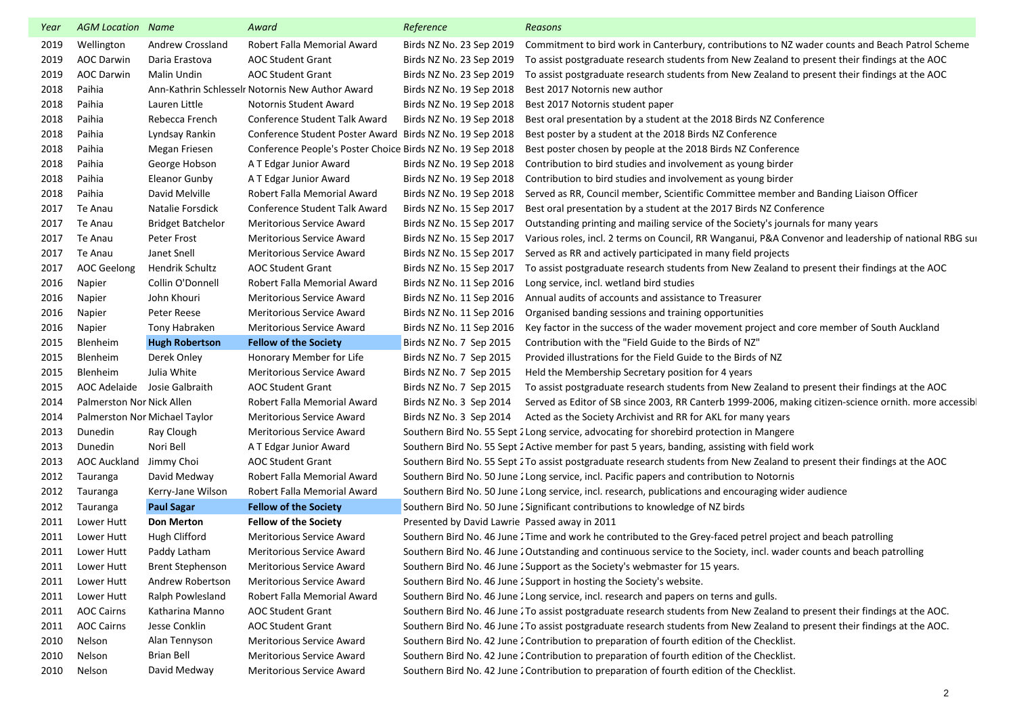| Year | <b>AGM Location Name</b>  |                               | Award                                                      | Reference                                       | Reasons                                                                                                                    |
|------|---------------------------|-------------------------------|------------------------------------------------------------|-------------------------------------------------|----------------------------------------------------------------------------------------------------------------------------|
| 2019 | Wellington                | Andrew Crossland              | Robert Falla Memorial Award                                | Birds NZ No. 23 Sep 2019                        | Commitment to bird work in Canterbury, contributions to NZ wader counts and Beach Patrol Scheme                            |
| 2019 | <b>AOC Darwin</b>         | Daria Erastova                | <b>AOC Student Grant</b>                                   | Birds NZ No. 23 Sep 2019                        | To assist postgraduate research students from New Zealand to present their findings at the AOC                             |
| 2019 | <b>AOC Darwin</b>         | Malin Undin                   | <b>AOC Student Grant</b>                                   | Birds NZ No. 23 Sep 2019                        | To assist postgraduate research students from New Zealand to present their findings at the AOC                             |
| 2018 | Paihia                    |                               | Ann-Kathrin Schlesselr Notornis New Author Award           | Birds NZ No. 19 Sep 2018                        | Best 2017 Notornis new author                                                                                              |
| 2018 | Paihia                    | Lauren Little                 | Notornis Student Award                                     | Birds NZ No. 19 Sep 2018                        | Best 2017 Notornis student paper                                                                                           |
| 2018 | Paihia                    | Rebecca French                | Conference Student Talk Award                              | Birds NZ No. 19 Sep 2018                        | Best oral presentation by a student at the 2018 Birds NZ Conference                                                        |
| 2018 | Paihia                    | Lyndsay Rankin                | Conference Student Poster Award                            | Birds NZ No. 19 Sep 2018                        | Best poster by a student at the 2018 Birds NZ Conference                                                                   |
| 2018 | Paihia                    | Megan Friesen                 | Conference People's Poster Choice Birds NZ No. 19 Sep 2018 |                                                 | Best poster chosen by people at the 2018 Birds NZ Conference                                                               |
| 2018 | Paihia                    | George Hobson                 | A T Edgar Junior Award                                     | Birds NZ No. 19 Sep 2018                        | Contribution to bird studies and involvement as young birder                                                               |
| 2018 | Paihia                    | <b>Eleanor Gunby</b>          | A T Edgar Junior Award                                     | Birds NZ No. 19 Sep 2018                        | Contribution to bird studies and involvement as young birder                                                               |
| 2018 | Paihia                    | David Melville                | Robert Falla Memorial Award                                | Birds NZ No. 19 Sep 2018                        | Served as RR, Council member, Scientific Committee member and Banding Liaison Officer                                      |
| 2017 | Te Anau                   | Natalie Forsdick              | Conference Student Talk Award                              | Birds NZ No. 15 Sep 2017                        | Best oral presentation by a student at the 2017 Birds NZ Conference                                                        |
| 2017 | Te Anau                   | <b>Bridget Batchelor</b>      | <b>Meritorious Service Award</b>                           | Birds NZ No. 15 Sep 2017                        | Outstanding printing and mailing service of the Society's journals for many years                                          |
| 2017 | Te Anau                   | Peter Frost                   | <b>Meritorious Service Award</b>                           | Birds NZ No. 15 Sep 2017                        | Various roles, incl. 2 terms on Council, RR Wanganui, P&A Convenor and leadership of national RBG sur                      |
| 2017 | Te Anau                   | Janet Snell                   | Meritorious Service Award                                  | Birds NZ No. 15 Sep 2017                        | Served as RR and actively participated in many field projects                                                              |
| 2017 | AOC Geelong               | <b>Hendrik Schultz</b>        | <b>AOC Student Grant</b>                                   | Birds NZ No. 15 Sep 2017                        | To assist postgraduate research students from New Zealand to present their findings at the AOC                             |
| 2016 | Napier                    | Collin O'Donnell              | Robert Falla Memorial Award                                | Birds NZ No. 11 Sep 2016                        | Long service, incl. wetland bird studies                                                                                   |
| 2016 | Napier                    | John Khouri                   | Meritorious Service Award                                  | Birds NZ No. 11 Sep 2016                        | Annual audits of accounts and assistance to Treasurer                                                                      |
| 2016 | Napier                    | Peter Reese                   | Meritorious Service Award                                  | Birds NZ No. 11 Sep 2016                        | Organised banding sessions and training opportunities                                                                      |
| 2016 | Napier                    | Tony Habraken                 | <b>Meritorious Service Award</b>                           | Birds NZ No. 11 Sep 2016                        | Key factor in the success of the wader movement project and core member of South Auckland                                  |
| 2015 | <b>Blenheim</b>           | <b>Hugh Robertson</b>         | <b>Fellow of the Society</b>                               | Birds NZ No. 7 Sep 2015                         | Contribution with the "Field Guide to the Birds of NZ"                                                                     |
| 2015 | <b>Blenheim</b>           | Derek Onley                   | Honorary Member for Life                                   | Birds NZ No. 7 Sep 2015                         | Provided illustrations for the Field Guide to the Birds of NZ                                                              |
| 2015 | <b>Blenheim</b>           | Julia White                   | Meritorious Service Award                                  | Birds NZ No. 7 Sep 2015                         | Held the Membership Secretary position for 4 years                                                                         |
| 2015 | AOC Adelaide              | Josie Galbraith               | <b>AOC Student Grant</b>                                   | Birds NZ No. 7 Sep 2015                         | To assist postgraduate research students from New Zealand to present their findings at the AOC                             |
| 2014 | Palmerston Nor Nick Allen |                               | Robert Falla Memorial Award                                | Birds NZ No. 3 Sep 2014                         | Served as Editor of SB since 2003, RR Canterb 1999-2006, making citizen-science ornith. more accessib                      |
| 2014 |                           | Palmerston Nor Michael Taylor | Meritorious Service Award                                  | Birds NZ No. 3 Sep 2014                         | Acted as the Society Archivist and RR for AKL for many years                                                               |
| 2013 | Dunedin                   | Ray Clough                    | Meritorious Service Award                                  |                                                 | Southern Bird No. 55 Sept 2 Long service, advocating for shorebird protection in Mangere                                   |
| 2013 | Dunedin                   | Nori Bell                     | A T Edgar Junior Award                                     |                                                 | Southern Bird No. 55 Sept 2 Active member for past 5 years, banding, assisting with field work                             |
| 2013 | AOC Auckland              | Jimmy Choi                    | <b>AOC Student Grant</b>                                   |                                                 | Southern Bird No. 55 Sept 2To assist postgraduate research students from New Zealand to present their findings at the AOC  |
| 2012 | Tauranga                  | David Medway                  | Robert Falla Memorial Award                                |                                                 | Southern Bird No. 50 June 2 Long service, incl. Pacific papers and contribution to Notornis                                |
| 2012 | Tauranga                  | Kerry-Jane Wilson             | Robert Falla Memorial Award                                |                                                 | Southern Bird No. 50 June 2 Long service, incl. research, publications and encouraging wider audience                      |
| 2012 | Tauranga                  | <b>Paul Sagar</b>             | <b>Fellow of the Society</b>                               |                                                 | Southern Bird No. 50 June 2 Significant contributions to knowledge of NZ birds                                             |
| 2011 | Lower Hutt                | <b>Don Merton</b>             | <b>Fellow of the Society</b>                               | Presented by David Lawrie   Passed away in 2011 |                                                                                                                            |
| 2011 | Lower Hutt                | Hugh Clifford                 | Meritorious Service Award                                  |                                                 | Southern Bird No. 46 June 2 Time and work he contributed to the Grey-faced petrel project and beach patrolling             |
|      | 2011 Lower Hutt           | Paddy Latham                  | Meritorious Service Award                                  |                                                 | Southern Bird No. 46 June 2 Outstanding and continuous service to the Society, incl. wader counts and beach patrolling     |
| 2011 | Lower Hutt                | <b>Brent Stephenson</b>       | <b>Meritorious Service Award</b>                           |                                                 | Southern Bird No. 46 June 2 Support as the Society's webmaster for 15 years.                                               |
| 2011 | Lower Hutt                | Andrew Robertson              | Meritorious Service Award                                  |                                                 | Southern Bird No. 46 June 2 Support in hosting the Society's website.                                                      |
| 2011 | Lower Hutt                | Ralph Powlesland              | Robert Falla Memorial Award                                |                                                 | Southern Bird No. 46 June 2 Long service, incl. research and papers on terns and gulls.                                    |
| 2011 | <b>AOC Cairns</b>         | Katharina Manno               | <b>AOC Student Grant</b>                                   |                                                 | Southern Bird No. 46 June 2To assist postgraduate research students from New Zealand to present their findings at the AOC. |
| 2011 | <b>AOC Cairns</b>         | Jesse Conklin                 | <b>AOC Student Grant</b>                                   |                                                 | Southern Bird No. 46 June 2To assist postgraduate research students from New Zealand to present their findings at the AOC. |
| 2010 | Nelson                    | Alan Tennyson                 | Meritorious Service Award                                  |                                                 | Southern Bird No. 42 June 2 Contribution to preparation of fourth edition of the Checklist.                                |
| 2010 | Nelson                    | Brian Bell                    | Meritorious Service Award                                  |                                                 | Southern Bird No. 42 June 2 Contribution to preparation of fourth edition of the Checklist.                                |
| 2010 | Nelson                    | David Medway                  | <b>Meritorious Service Award</b>                           |                                                 | Southern Bird No. 42 June 2 Contribution to preparation of fourth edition of the Checklist.                                |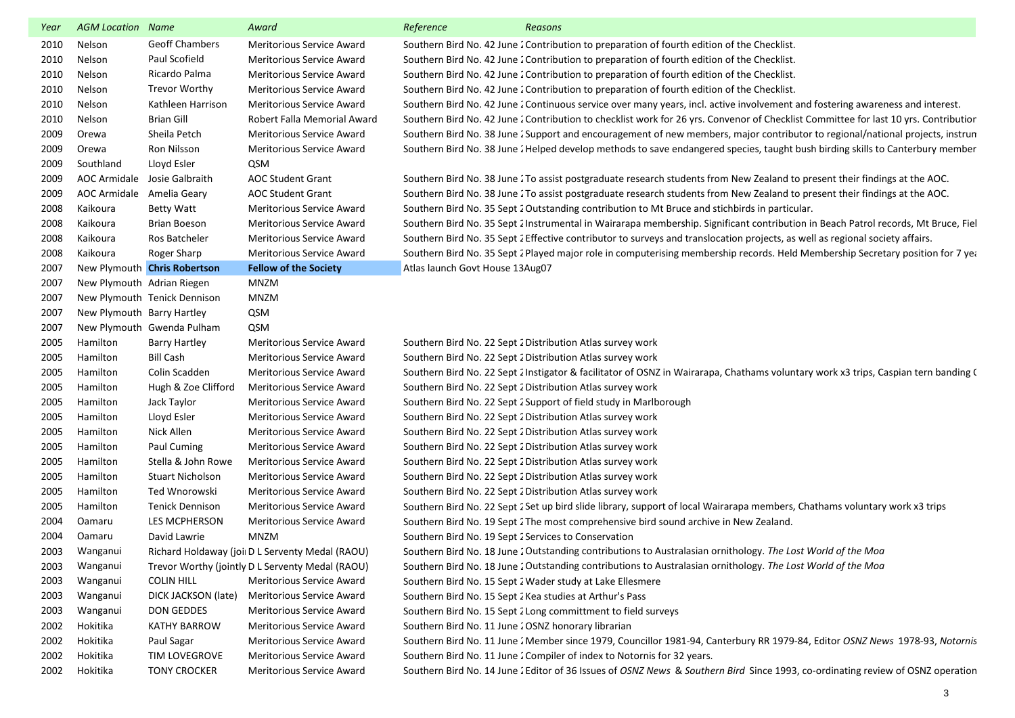| Year | <b>AGM Location Name</b>   |                              | Award                                            | Reference<br>Reasons                                                                                                                 |
|------|----------------------------|------------------------------|--------------------------------------------------|--------------------------------------------------------------------------------------------------------------------------------------|
| 2010 | Nelson                     | <b>Geoff Chambers</b>        | <b>Meritorious Service Award</b>                 | Southern Bird No. 42 June 2 Contribution to preparation of fourth edition of the Checklist.                                          |
| 2010 | Nelson                     | Paul Scofield                | Meritorious Service Award                        | Southern Bird No. 42 June 2 Contribution to preparation of fourth edition of the Checklist.                                          |
| 2010 | Nelson                     | Ricardo Palma                | Meritorious Service Award                        | Southern Bird No. 42 June 2 Contribution to preparation of fourth edition of the Checklist.                                          |
| 2010 | Nelson                     | <b>Trevor Worthy</b>         | Meritorious Service Award                        | Southern Bird No. 42 June 2 Contribution to preparation of fourth edition of the Checklist.                                          |
| 2010 | Nelson                     | Kathleen Harrison            | Meritorious Service Award                        | Southern Bird No. 42 June 2 Continuous service over many years, incl. active involvement and fostering awareness and interest.       |
| 2010 | Nelson                     | <b>Brian Gill</b>            | Robert Falla Memorial Award                      | Southern Bird No. 42 June 2 Contribution to checklist work for 26 yrs. Convenor of Checklist Committee for last 10 yrs. Contributior |
| 2009 | Orewa                      | Sheila Petch                 | Meritorious Service Award                        | Southern Bird No. 38 June 2 Support and encouragement of new members, major contributor to regional/national projects, instrun       |
| 2009 | Orewa                      | Ron Nilsson                  | Meritorious Service Award                        | Southern Bird No. 38 June 2 Helped develop methods to save endangered species, taught bush birding skills to Canterbury member       |
| 2009 | Southland                  | Lloyd Esler                  | QSM                                              |                                                                                                                                      |
| 2009 | AOC Armidale               | Josie Galbraith              | <b>AOC Student Grant</b>                         | Southern Bird No. 38 June 2To assist postgraduate research students from New Zealand to present their findings at the AOC.           |
| 2009 | AOC Armidale               | Amelia Geary                 | <b>AOC Student Grant</b>                         | Southern Bird No. 38 June 2To assist postgraduate research students from New Zealand to present their findings at the AOC.           |
| 2008 | Kaikoura                   | Betty Watt                   | Meritorious Service Award                        | Southern Bird No. 35 Sept 2 Outstanding contribution to Mt Bruce and stichbirds in particular.                                       |
| 2008 | Kaikoura                   | Brian Boeson                 | Meritorious Service Award                        | Southern Bird No. 35 Sept 2 Instrumental in Wairarapa membership. Significant contribution in Beach Patrol records, Mt Bruce, Fiel   |
| 2008 | Kaikoura                   | Ros Batcheler                | Meritorious Service Award                        | Southern Bird No. 35 Sept 2 Effective contributor to surveys and translocation projects, as well as regional society affairs.        |
| 2008 | Kaikoura                   | Roger Sharp                  | Meritorious Service Award                        | Southern Bird No. 35 Sept 2 Played major role in computerising membership records. Held Membership Secretary position for 7 yea      |
| 2007 |                            | New Plymouth Chris Robertson | <b>Fellow of the Society</b>                     | Atlas launch Govt House 13Aug07                                                                                                      |
| 2007 | New Plymouth Adrian Riegen |                              | MNZM                                             |                                                                                                                                      |
| 2007 |                            | New Plymouth Tenick Dennison | MNZM                                             |                                                                                                                                      |
| 2007 | New Plymouth Barry Hartley |                              | QSM                                              |                                                                                                                                      |
| 2007 |                            | New Plymouth Gwenda Pulham   | QSM                                              |                                                                                                                                      |
| 2005 | Hamilton                   | <b>Barry Hartley</b>         | Meritorious Service Award                        | Southern Bird No. 22 Sept 2 Distribution Atlas survey work                                                                           |
| 2005 | Hamilton                   | Bill Cash                    | <b>Meritorious Service Award</b>                 | Southern Bird No. 22 Sept 2 Distribution Atlas survey work                                                                           |
| 2005 | Hamilton                   | Colin Scadden                | Meritorious Service Award                        | Southern Bird No. 22 Sept 2 Instigator & facilitator of OSNZ in Wairarapa, Chathams voluntary work x3 trips, Caspian tern banding (  |
| 2005 | Hamilton                   | Hugh & Zoe Clifford          | Meritorious Service Award                        | Southern Bird No. 22 Sept 2 Distribution Atlas survey work                                                                           |
| 2005 | Hamilton                   | Jack Taylor                  | Meritorious Service Award                        | Southern Bird No. 22 Sept 2 Support of field study in Marlborough                                                                    |
| 2005 | Hamilton                   | Lloyd Esler                  | Meritorious Service Award                        | Southern Bird No. 22 Sept 2 Distribution Atlas survey work                                                                           |
| 2005 | Hamilton                   | Nick Allen                   | Meritorious Service Award                        | Southern Bird No. 22 Sept 2 Distribution Atlas survey work                                                                           |
| 2005 | Hamilton                   | Paul Cuming                  | Meritorious Service Award                        | Southern Bird No. 22 Sept 2 Distribution Atlas survey work                                                                           |
| 2005 | Hamilton                   | Stella & John Rowe           | Meritorious Service Award                        | Southern Bird No. 22 Sept 2 Distribution Atlas survey work                                                                           |
| 2005 | Hamilton                   | <b>Stuart Nicholson</b>      | Meritorious Service Award                        | Southern Bird No. 22 Sept 2 Distribution Atlas survey work                                                                           |
| 2005 | Hamilton                   | Ted Wnorowski                | Meritorious Service Award                        | Southern Bird No. 22 Sept 2 Distribution Atlas survey work                                                                           |
| 2005 | Hamilton                   | <b>Tenick Dennison</b>       | Meritorious Service Award                        | Southern Bird No. 22 Sept 2 Set up bird slide library, support of local Wairarapa members, Chathams voluntary work x3 trips          |
| 2004 | Oamaru                     | <b>LES MCPHERSON</b>         | Meritorious Service Award                        | Southern Bird No. 19 Sept 2 The most comprehensive bird sound archive in New Zealand.                                                |
| 2004 | Oamaru                     | David Lawrie                 | MNZM                                             | Southern Bird No. 19 Sept 2 Services to Conservation                                                                                 |
| 2003 | Wanganui                   |                              | Richard Holdaway (joi: D L Serventy Medal (RAOU) | Southern Bird No. 18 June 2 Outstanding contributions to Australasian ornithology. The Lost World of the Moa                         |
| 2003 | Wanganui                   |                              | Trevor Worthy (jointly D L Serventy Medal (RAOU) | Southern Bird No. 18 June 2 Outstanding contributions to Australasian ornithology. The Lost World of the Moa                         |
| 2003 | Wanganui                   | <b>COLIN HILL</b>            | Meritorious Service Award                        | Southern Bird No. 15 Sept 2 Wader study at Lake Ellesmere                                                                            |
| 2003 | Wanganui                   | DICK JACKSON (late)          | <b>Meritorious Service Award</b>                 | Southern Bird No. 15 Sept 2 Kea studies at Arthur's Pass                                                                             |
| 2003 | Wanganui                   | DON GEDDES                   | Meritorious Service Award                        | Southern Bird No. 15 Sept 2 Long committment to field surveys                                                                        |
| 2002 | Hokitika                   | <b>KATHY BARROW</b>          | Meritorious Service Award                        | Southern Bird No. 11 June 2 OSNZ honorary librarian                                                                                  |
| 2002 | Hokitika                   | Paul Sagar                   | Meritorious Service Award                        | Southern Bird No. 11 June 2 Member since 1979, Councillor 1981-94, Canterbury RR 1979-84, Editor OSNZ News 1978-93, Notornis         |
| 2002 | Hokitika                   | TIM LOVEGROVE                | Meritorious Service Award                        | Southern Bird No. 11 June 2 Compiler of index to Notornis for 32 years.                                                              |
|      | 2002 Hokitika              | <b>TONY CROCKER</b>          | Meritorious Service Award                        | Southern Bird No. 14 June 2 Editor of 36 Issues of OSNZ News & Southern Bird Since 1993, co-ordinating review of OSNZ operation      |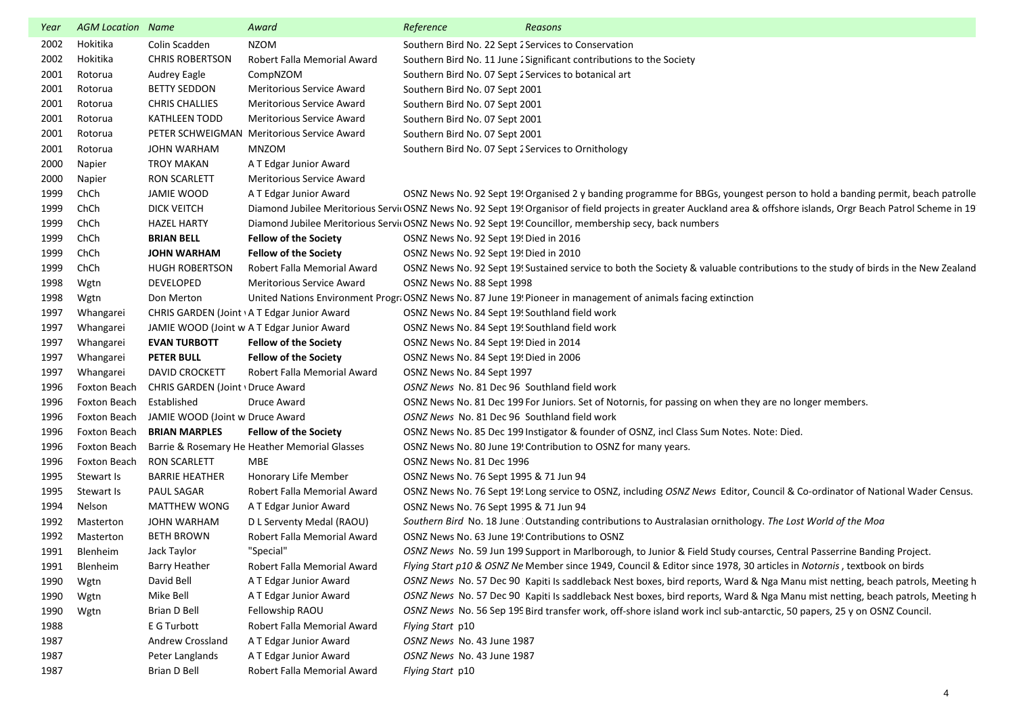| Year | <b>AGM Location Name</b> |                                   | Award                                         | Reference<br>Reasons                                                                                                                                                |
|------|--------------------------|-----------------------------------|-----------------------------------------------|---------------------------------------------------------------------------------------------------------------------------------------------------------------------|
| 2002 | Hokitika                 | Colin Scadden                     | <b>NZOM</b>                                   | Southern Bird No. 22 Sept 2 Services to Conservation                                                                                                                |
| 2002 | Hokitika                 | <b>CHRIS ROBERTSON</b>            | Robert Falla Memorial Award                   | Southern Bird No. 11 June 2 Significant contributions to the Society                                                                                                |
| 2001 | Rotorua                  | Audrey Eagle                      | CompNZOM                                      | Southern Bird No. 07 Sept 2 Services to botanical art                                                                                                               |
| 2001 | Rotorua                  | <b>BETTY SEDDON</b>               | <b>Meritorious Service Award</b>              | Southern Bird No. 07 Sept 2001                                                                                                                                      |
| 2001 | Rotorua                  | <b>CHRIS CHALLIES</b>             | Meritorious Service Award                     | Southern Bird No. 07 Sept 2001                                                                                                                                      |
| 2001 | Rotorua                  | <b>KATHLEEN TODD</b>              | Meritorious Service Award                     | Southern Bird No. 07 Sept 2001                                                                                                                                      |
| 2001 | Rotorua                  | PETER SCHWEIGMAN                  | Meritorious Service Award                     | Southern Bird No. 07 Sept 2001                                                                                                                                      |
| 2001 | Rotorua                  | <b>JOHN WARHAM</b>                | <b>MNZOM</b>                                  | Southern Bird No. 07 Sept 2 Services to Ornithology                                                                                                                 |
| 2000 | Napier                   | <b>TROY MAKAN</b>                 | A T Edgar Junior Award                        |                                                                                                                                                                     |
| 2000 | Napier                   | <b>RON SCARLETT</b>               | <b>Meritorious Service Award</b>              |                                                                                                                                                                     |
| 1999 | ChCh                     | JAMIE WOOD                        | A T Edgar Junior Award                        | OSNZ News No. 92 Sept 19! Organised 2 y banding programme for BBGs, youngest person to hold a banding permit, beach patrolle                                        |
| 1999 | ChCh                     | <b>DICK VEITCH</b>                |                                               | Diamond Jubilee Meritorious ServicOSNZ News No. 92 Sept 19! Organisor of field projects in greater Auckland area & offshore islands, Orgr Beach Patrol Scheme in 19 |
| 1999 | ChCh                     | <b>HAZEL HARTY</b>                |                                               | Diamond Jubilee Meritorious Servic OSNZ News No. 92 Sept 19! Councillor, membership secy, back numbers                                                              |
| 1999 | ChCh                     | <b>BRIAN BELL</b>                 | <b>Fellow of the Society</b>                  | OSNZ News No. 92 Sept 19! Died in 2016                                                                                                                              |
| 1999 | ChCh                     | <b>JOHN WARHAM</b>                | <b>Fellow of the Society</b>                  | OSNZ News No. 92 Sept 19! Died in 2010                                                                                                                              |
| 1999 | ChCh                     | <b>HUGH ROBERTSON</b>             | Robert Falla Memorial Award                   | OSNZ News No. 92 Sept 19! Sustained service to both the Society & valuable contributions to the study of birds in the New Zealand                                   |
| 1998 | Wgtn                     | <b>DEVELOPED</b>                  | Meritorious Service Award                     | OSNZ News No. 88 Sept 1998                                                                                                                                          |
| 1998 | Wgtn                     | Don Merton                        |                                               | United Nations Environment Progra OSNZ News No. 87 June 19! Pioneer in management of animals facing extinction                                                      |
| 1997 | Whangarei                |                                   | CHRIS GARDEN (Joint \ A T Edgar Junior Award  | OSNZ News No. 84 Sept 19! Southland field work                                                                                                                      |
| 1997 | Whangarei                |                                   | JAMIE WOOD (Joint w A T Edgar Junior Award    | OSNZ News No. 84 Sept 19! Southland field work                                                                                                                      |
| 1997 | Whangarei                | <b>EVAN TURBOTT</b>               | <b>Fellow of the Society</b>                  | OSNZ News No. 84 Sept 19! Died in 2014                                                                                                                              |
| 1997 | Whangarei                | <b>PETER BULL</b>                 | <b>Fellow of the Society</b>                  | OSNZ News No. 84 Sept 19! Died in 2006                                                                                                                              |
| 1997 | Whangarei                | <b>DAVID CROCKETT</b>             | Robert Falla Memorial Award                   | OSNZ News No. 84 Sept 1997                                                                                                                                          |
| 1996 | Foxton Beach             | CHRIS GARDEN (Joint ) Druce Award |                                               | OSNZ News No. 81 Dec 96 Southland field work                                                                                                                        |
| 1996 | Foxton Beach             | Established                       | Druce Award                                   | OSNZ News No. 81 Dec 199 For Juniors. Set of Notornis, for passing on when they are no longer members.                                                              |
| 1996 | Foxton Beach             | JAMIE WOOD (Joint w Druce Award   |                                               | OSNZ News No. 81 Dec 96 Southland field work                                                                                                                        |
| 1996 | Foxton Beach             | <b>BRIAN MARPLES</b>              | <b>Fellow of the Society</b>                  | OSNZ News No. 85 Dec 199 Instigator & founder of OSNZ, incl Class Sum Notes. Note: Died.                                                                            |
| 1996 | Foxton Beach             |                                   | Barrie & Rosemary He Heather Memorial Glasses | OSNZ News No. 80 June 19! Contribution to OSNZ for many years.                                                                                                      |
| 1996 | Foxton Beach             | <b>RON SCARLETT</b>               | MBE                                           | OSNZ News No. 81 Dec 1996                                                                                                                                           |
| 1995 | Stewart Is               | <b>BARRIE HEATHER</b>             | Honorary Life Member                          | OSNZ News No. 76 Sept 1995 & 71 Jun 94                                                                                                                              |
| 1995 | Stewart Is               | PAUL SAGAR                        | Robert Falla Memorial Award                   | OSNZ News No. 76 Sept 19! Long service to OSNZ, including OSNZ News Editor, Council & Co-ordinator of National Wader Census.                                        |
| 1994 | Nelson                   | MATTHEW WONG                      | A T Edgar Junior Award                        | OSNZ News No. 76 Sept 1995 & 71 Jun 94                                                                                                                              |
| 1992 | Masterton                | JOHN WARHAM                       | D L Serventy Medal (RAOU)                     | Southern Bird No. 18 June : Outstanding contributions to Australasian ornithology. The Lost World of the Moa                                                        |
| 1992 | Masterton                | BETH BROWN                        | Robert Falla Memorial Award                   | OSNZ News No. 63 June 19! Contributions to OSNZ                                                                                                                     |
| 1991 | Blenheim                 | Jack Taylor                       | "Special"                                     | OSNZ News No. 59 Jun 199 Support in Marlborough, to Junior & Field Study courses, Central Passerrine Banding Project.                                               |
| 1991 | Blenheim                 | <b>Barry Heather</b>              | Robert Falla Memorial Award                   | Flying Start p10 & OSNZ Ne Member since 1949, Council & Editor since 1978, 30 articles in Notornis, textbook on birds                                               |
| 1990 | Wgtn                     | David Bell                        | A T Edgar Junior Award                        | OSNZ News No. 57 Dec 90 Kapiti Is saddleback Nest boxes, bird reports, Ward & Nga Manu mist netting, beach patrols, Meeting h                                       |
| 1990 | Wgtn                     | Mike Bell                         | A T Edgar Junior Award                        | OSNZ News No. 57 Dec 90 Kapiti Is saddleback Nest boxes, bird reports, Ward & Nga Manu mist netting, beach patrols, Meeting h                                       |
| 1990 | Wgtn                     | Brian D Bell                      | Fellowship RAOU                               | OSNZ News No. 56 Sep 199 Bird transfer work, off-shore island work incl sub-antarctic, 50 papers, 25 y on OSNZ Council.                                             |
| 1988 |                          | E G Turbott                       | Robert Falla Memorial Award                   | <b>Flying Start p10</b>                                                                                                                                             |
| 1987 |                          | <b>Andrew Crossland</b>           | A T Edgar Junior Award                        | OSNZ News No. 43 June 1987                                                                                                                                          |
| 1987 |                          | Peter Langlands                   | A T Edgar Junior Award                        | OSNZ News No. 43 June 1987                                                                                                                                          |
| 1987 |                          | <b>Brian D Bell</b>               | Robert Falla Memorial Award                   | Flying Start p10                                                                                                                                                    |